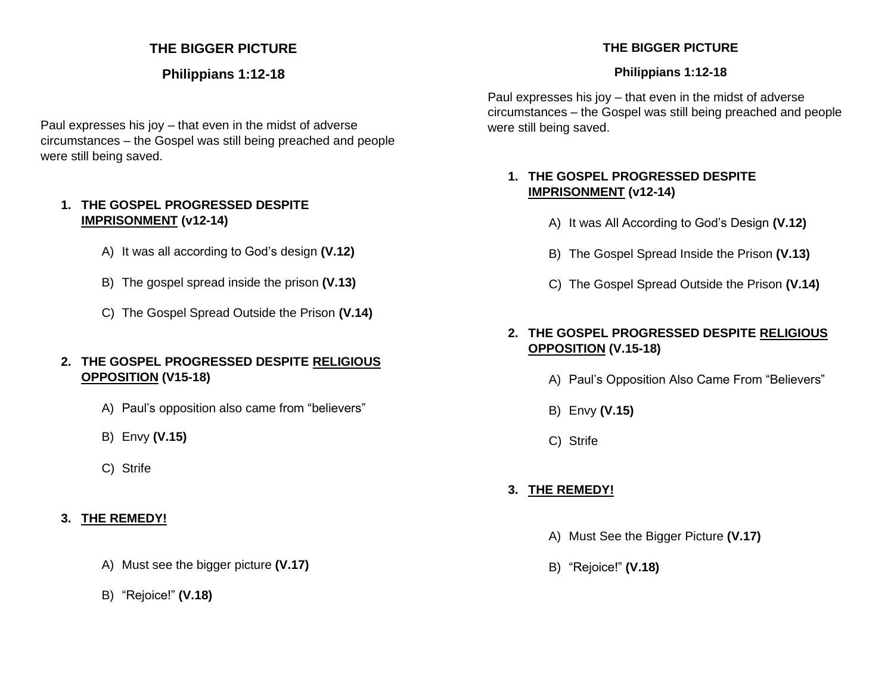# **THE BIGGER PICTURE**

## **Philippians 1:12-18**

Paul expresses his joy – that even in the midst of adverse circumstances – the Gospel was still being preached and people were still being saved.

#### **1. THE GOSPEL PROGRESSED DESPITE IMPRISONMENT (v12-14)**

- A) It was all according to God's design **(V.12)**
- B) The gospel spread inside the prison **(V.13)**
- C) The Gospel Spread Outside the Prison **(V.14)**

#### **2. THE GOSPEL PROGRESSED DESPITE RELIGIOUS OPPOSITION (V15-18)**

- A) Paul's opposition also came from "believers"
- B) Envy **(V.15)**
- C) Strife

# **3. THE REMEDY!**

- A) Must see the bigger picture **(V.17)**
- B) "Rejoice!" **(V.18)**

# **THE BIGGER PICTURE**

#### **Philippians 1:12-18**

Paul expresses his joy – that even in the midst of adverse circumstances – the Gospel was still being preached and people were still being saved.

## **1. THE GOSPEL PROGRESSED DESPITE IMPRISONMENT (v12-14)**

- A) It was All According to God's Design **(V.12)**
- B) The Gospel Spread Inside the Prison **(V.13)**
- C) The Gospel Spread Outside the Prison **(V.14)**

# **2. THE GOSPEL PROGRESSED DESPITE RELIGIOUS OPPOSITION (V.15-18)**

- A) Paul's Opposition Also Came From "Believers"
- B) Envy **(V.15)**
- C) Strife

# **3. THE REMEDY!**

- A) Must See the Bigger Picture **(V.17)**
- B) "Rejoice!" **(V.18)**